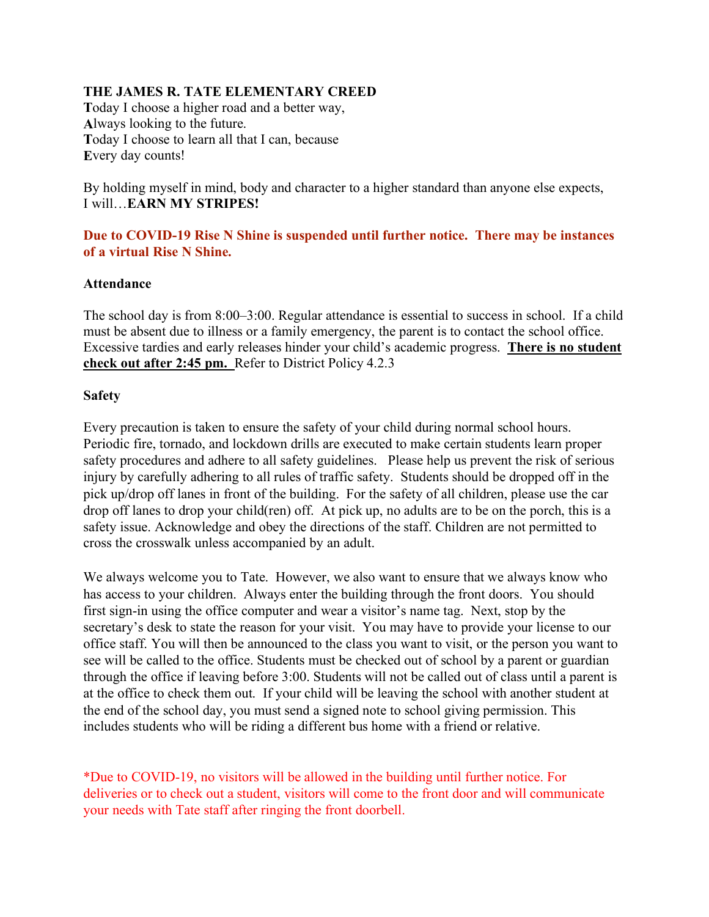### **THE JAMES R. TATE ELEMENTARY CREED**

**T**oday I choose a higher road and a better way, **A**lways looking to the future. **T**oday I choose to learn all that I can, because **E**very day counts!

By holding myself in mind, body and character to a higher standard than anyone else expects, I will…**EARN MY STRIPES!**

### **Due to COVID-19 Rise N Shine is suspended until further notice. There may be instances of a virtual Rise N Shine.**

### **Attendance**

The school day is from 8:00–3:00. Regular attendance is essential to success in school. If a child must be absent due to illness or a family emergency, the parent is to contact the school office. Excessive tardies and early releases hinder your child's academic progress. **There is no student check out after 2:45 pm.** Refer to District Policy 4.2.3

### **Safety**

Every precaution is taken to ensure the safety of your child during normal school hours. Periodic fire, tornado, and lockdown drills are executed to make certain students learn proper safety procedures and adhere to all safety guidelines. Please help us prevent the risk of serious injury by carefully adhering to all rules of traffic safety. Students should be dropped off in the pick up/drop off lanes in front of the building. For the safety of all children, please use the car drop off lanes to drop your child(ren) off. At pick up, no adults are to be on the porch, this is a safety issue. Acknowledge and obey the directions of the staff. Children are not permitted to cross the crosswalk unless accompanied by an adult.

We always welcome you to Tate. However, we also want to ensure that we always know who has access to your children. Always enter the building through the front doors. You should first sign-in using the office computer and wear a visitor's name tag. Next, stop by the secretary's desk to state the reason for your visit. You may have to provide your license to our office staff. You will then be announced to the class you want to visit, or the person you want to see will be called to the office. Students must be checked out of school by a parent or guardian through the office if leaving before 3:00. Students will not be called out of class until a parent is at the office to check them out. If your child will be leaving the school with another student at the end of the school day, you must send a signed note to school giving permission. This includes students who will be riding a different bus home with a friend or relative.

\*Due to COVID-19, no visitors will be allowed in the building until further notice. For deliveries or to check out a student, visitors will come to the front door and will communicate your needs with Tate staff after ringing the front doorbell.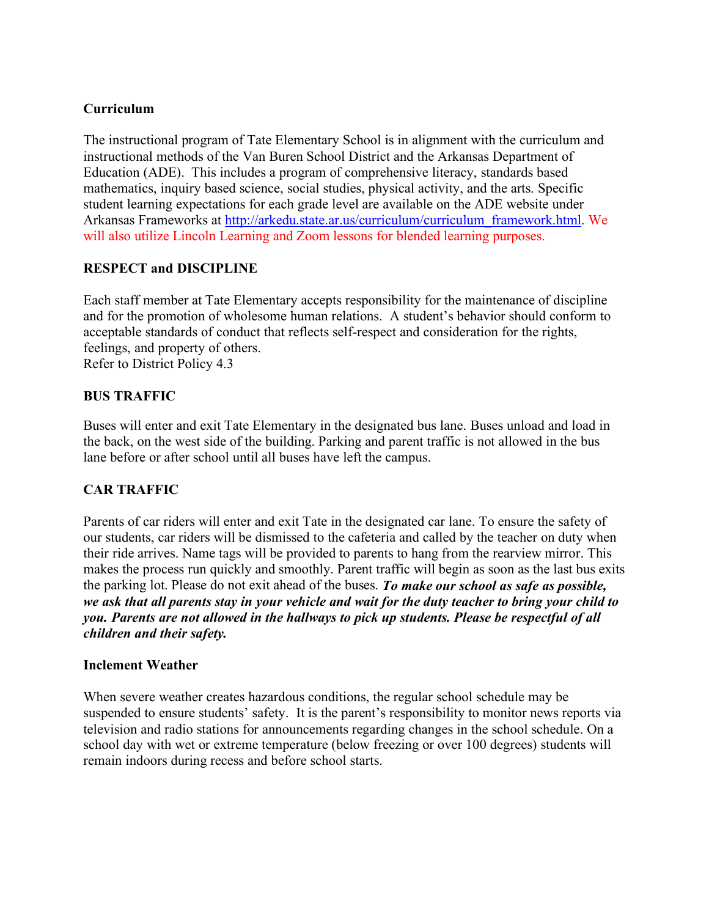## **Curriculum**

The instructional program of Tate Elementary School is in alignment with the curriculum and instructional methods of the Van Buren School District and the Arkansas Department of Education (ADE). This includes a program of comprehensive literacy, standards based mathematics, inquiry based science, social studies, physical activity, and the arts. Specific student learning expectations for each grade level are available on the ADE website under Arkansas Frameworks at [http://arkedu.state.ar.us/curriculum/curriculum\\_framework.html.](http://arkedu.state.ar.us/curriculum/curriculum_framework.html) We will also utilize Lincoln Learning and Zoom lessons for blended learning purposes.

## **RESPECT and DISCIPLINE**

Each staff member at Tate Elementary accepts responsibility for the maintenance of discipline and for the promotion of wholesome human relations. A student's behavior should conform to acceptable standards of conduct that reflects self-respect and consideration for the rights, feelings, and property of others. Refer to District Policy 4.3

## **BUS TRAFFIC**

Buses will enter and exit Tate Elementary in the designated bus lane. Buses unload and load in the back, on the west side of the building. Parking and parent traffic is not allowed in the bus lane before or after school until all buses have left the campus.

# **CAR TRAFFIC**

Parents of car riders will enter and exit Tate in the designated car lane. To ensure the safety of our students, car riders will be dismissed to the cafeteria and called by the teacher on duty when their ride arrives. Name tags will be provided to parents to hang from the rearview mirror. This makes the process run quickly and smoothly. Parent traffic will begin as soon as the last bus exits the parking lot. Please do not exit ahead of the buses. *To make our school as safe as possible, we ask that all parents stay in your vehicle and wait for the duty teacher to bring your child to you. Parents are not allowed in the hallways to pick up students. Please be respectful of all children and their safety.* 

## **Inclement Weather**

When severe weather creates hazardous conditions, the regular school schedule may be suspended to ensure students' safety. It is the parent's responsibility to monitor news reports via television and radio stations for announcements regarding changes in the school schedule. On a school day with wet or extreme temperature (below freezing or over 100 degrees) students will remain indoors during recess and before school starts.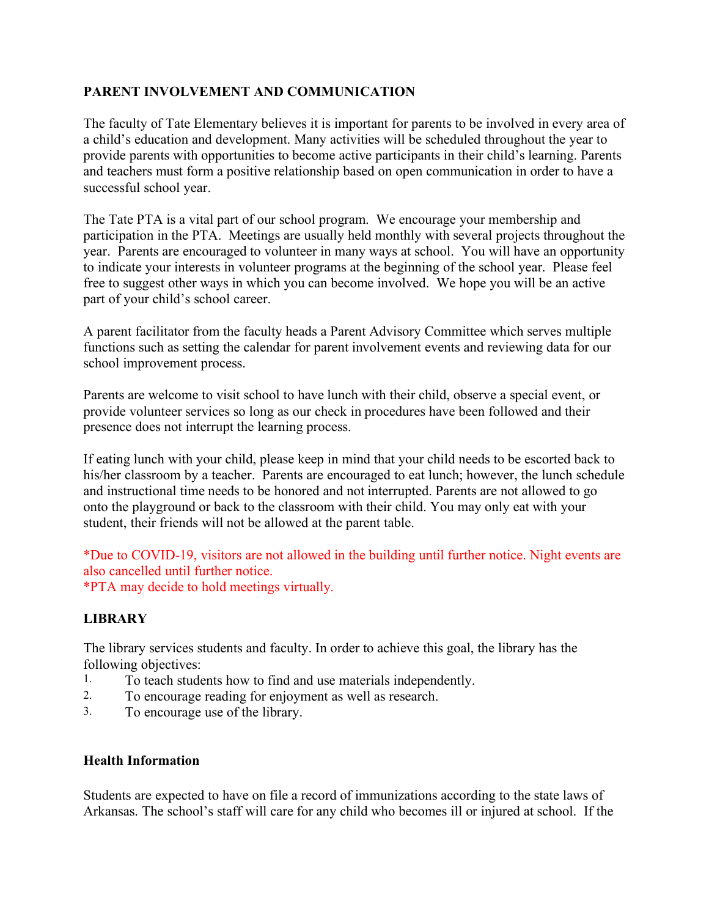## **PARENT INVOLVEMENT AND COMMUNICATION**

The faculty of Tate Elementary believes it is important for parents to be involved in every area of a child's education and development. Many activities will be scheduled throughout the year to provide parents with opportunities to become active participants in their child's learning. Parents and teachers must form a positive relationship based on open communication in order to have a successful school year.

The Tate PTA is a vital part of our school program. We encourage your membership and participation in the PTA. Meetings are usually held monthly with several projects throughout the year. Parents are encouraged to volunteer in many ways at school. You will have an opportunity to indicate your interests in volunteer programs at the beginning of the school year. Please feel free to suggest other ways in which you can become involved. We hope you will be an active part of your child's school career.

A parent facilitator from the faculty heads a Parent Advisory Committee which serves multiple functions such as setting the calendar for parent involvement events and reviewing data for our school improvement process.

Parents are welcome to visit school to have lunch with their child, observe a special event, or provide volunteer services so long as our check in procedures have been followed and their presence does not interrupt the learning process.

If eating lunch with your child, please keep in mind that your child needs to be escorted back to his/her classroom by a teacher. Parents are encouraged to eat lunch; however, the lunch schedule and instructional time needs to be honored and not interrupted. Parents are not allowed to go onto the playground or back to the classroom with their child. You may only eat with your student, their friends will not be allowed at the parent table.

\*Due to COVID-19, visitors are not allowed in the building until further notice. Night events are also cancelled until further notice. \*PTA may decide to hold meetings virtually.

## **LIBRARY**

The library services students and faculty. In order to achieve this goal, the library has the following objectives:

- 1. To teach students how to find and use materials independently.
- 2. To encourage reading for enjoyment as well as research.
- 3. To encourage use of the library.

## **Health Information**

Students are expected to have on file a record of immunizations according to the state laws of Arkansas. The school's staff will care for any child who becomes ill or injured at school. If the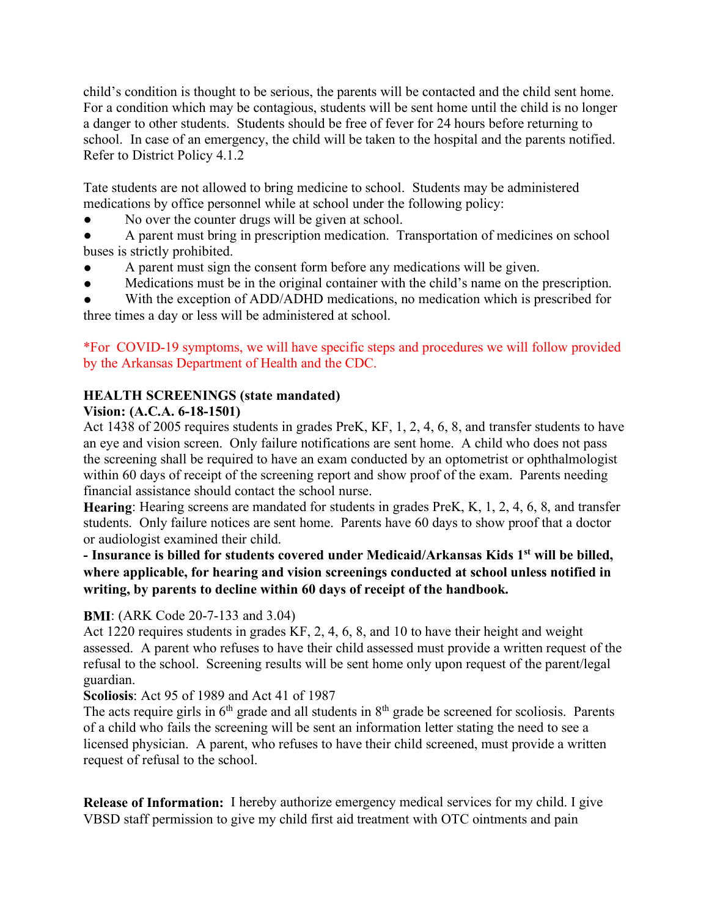child's condition is thought to be serious, the parents will be contacted and the child sent home. For a condition which may be contagious, students will be sent home until the child is no longer a danger to other students. Students should be free of fever for 24 hours before returning to school. In case of an emergency, the child will be taken to the hospital and the parents notified. Refer to District Policy 4.1.2

Tate students are not allowed to bring medicine to school. Students may be administered medications by office personnel while at school under the following policy:

- No over the counter drugs will be given at school.
- A parent must bring in prescription medication. Transportation of medicines on school buses is strictly prohibited.
- A parent must sign the consent form before any medications will be given.
- Medications must be in the original container with the child's name on the prescription.

With the exception of ADD/ADHD medications, no medication which is prescribed for three times a day or less will be administered at school.

## \*For COVID-19 symptoms, we will have specific steps and procedures we will follow provided by the Arkansas Department of Health and the CDC.

# **HEALTH SCREENINGS (state mandated)**

## **Vision: (A.C.A. 6-18-1501)**

Act 1438 of 2005 requires students in grades PreK, KF, 1, 2, 4, 6, 8, and transfer students to have an eye and vision screen. Only failure notifications are sent home. A child who does not pass the screening shall be required to have an exam conducted by an optometrist or ophthalmologist within 60 days of receipt of the screening report and show proof of the exam. Parents needing financial assistance should contact the school nurse.

**Hearing**: Hearing screens are mandated for students in grades PreK, K, 1, 2, 4, 6, 8, and transfer students. Only failure notices are sent home. Parents have 60 days to show proof that a doctor or audiologist examined their child.

## **- Insurance is billed for students covered under Medicaid/Arkansas Kids 1st will be billed, where applicable, for hearing and vision screenings conducted at school unless notified in writing, by parents to decline within 60 days of receipt of the handbook.**

## **BMI**: (ARK Code 20-7-133 and 3.04)

Act 1220 requires students in grades KF, 2, 4, 6, 8, and 10 to have their height and weight assessed. A parent who refuses to have their child assessed must provide a written request of the refusal to the school. Screening results will be sent home only upon request of the parent/legal guardian.

## **Scoliosis**: Act 95 of 1989 and Act 41 of 1987

The acts require girls in  $6<sup>th</sup>$  grade and all students in  $8<sup>th</sup>$  grade be screened for scoliosis. Parents of a child who fails the screening will be sent an information letter stating the need to see a licensed physician. A parent, who refuses to have their child screened, must provide a written request of refusal to the school.

**Release of Information:** I hereby authorize emergency medical services for my child. I give VBSD staff permission to give my child first aid treatment with OTC ointments and pain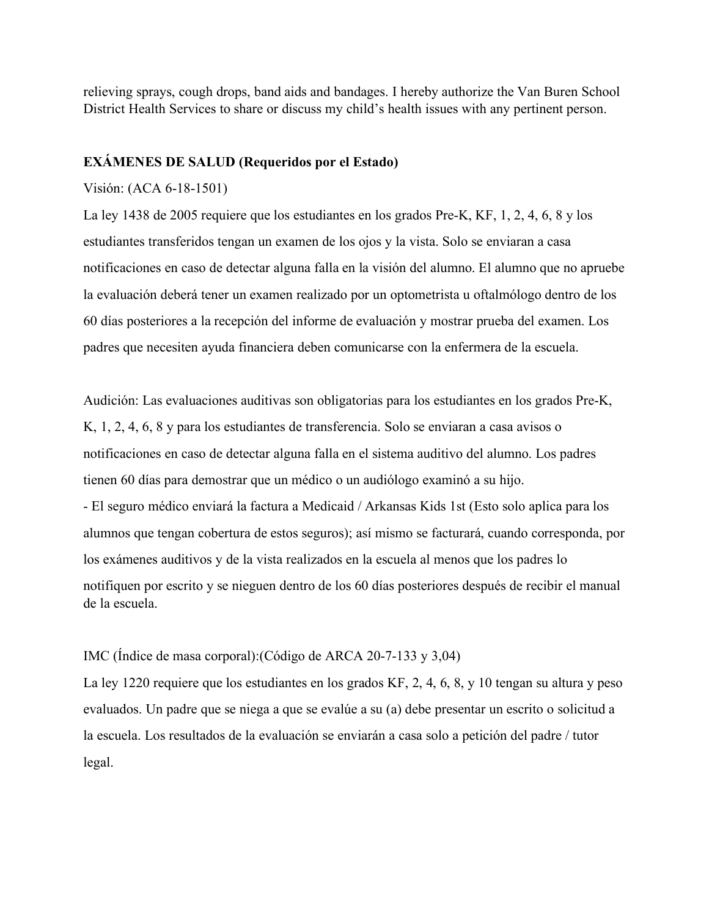relieving sprays, cough drops, band aids and bandages. I hereby authorize the Van Buren School District Health Services to share or discuss my child's health issues with any pertinent person.

### **EXÁMENES DE SALUD (Requeridos por el Estado)**

#### Visión: (ACA 6-18-1501)

La ley 1438 de 2005 requiere que los estudiantes en los grados Pre-K, KF, 1, 2, 4, 6, 8 y los estudiantes transferidos tengan un examen de los ojos y la vista. Solo se enviaran a casa notificaciones en caso de detectar alguna falla en la visión del alumno. El alumno que no apruebe la evaluación deberá tener un examen realizado por un optometrista u oftalmólogo dentro de los 60 días posteriores a la recepción del informe de evaluación y mostrar prueba del examen. Los padres que necesiten ayuda financiera deben comunicarse con la enfermera de la escuela.

Audición: Las evaluaciones auditivas son obligatorias para los estudiantes en los grados Pre-K, K, 1, 2, 4, 6, 8 y para los estudiantes de transferencia. Solo se enviaran a casa avisos o notificaciones en caso de detectar alguna falla en el sistema auditivo del alumno. Los padres tienen 60 días para demostrar que un médico o un audiólogo examinó a su hijo. - El seguro médico enviará la factura a Medicaid / Arkansas Kids 1st (Esto solo aplica para los alumnos que tengan cobertura de estos seguros); así mismo se facturará, cuando corresponda, por los exámenes auditivos y de la vista realizados en la escuela al menos que los padres lo notifiquen por escrito y se nieguen dentro de los 60 días posteriores después de recibir el manual de la escuela.

### IMC (Índice de masa corporal):(Código de ARCA 20-7-133 y 3,04)

La ley 1220 requiere que los estudiantes en los grados KF, 2, 4, 6, 8, y 10 tengan su altura y peso evaluados. Un padre que se niega a que se evalúe a su (a) debe presentar un escrito o solicitud a la escuela. Los resultados de la evaluación se enviarán a casa solo a petición del padre / tutor legal.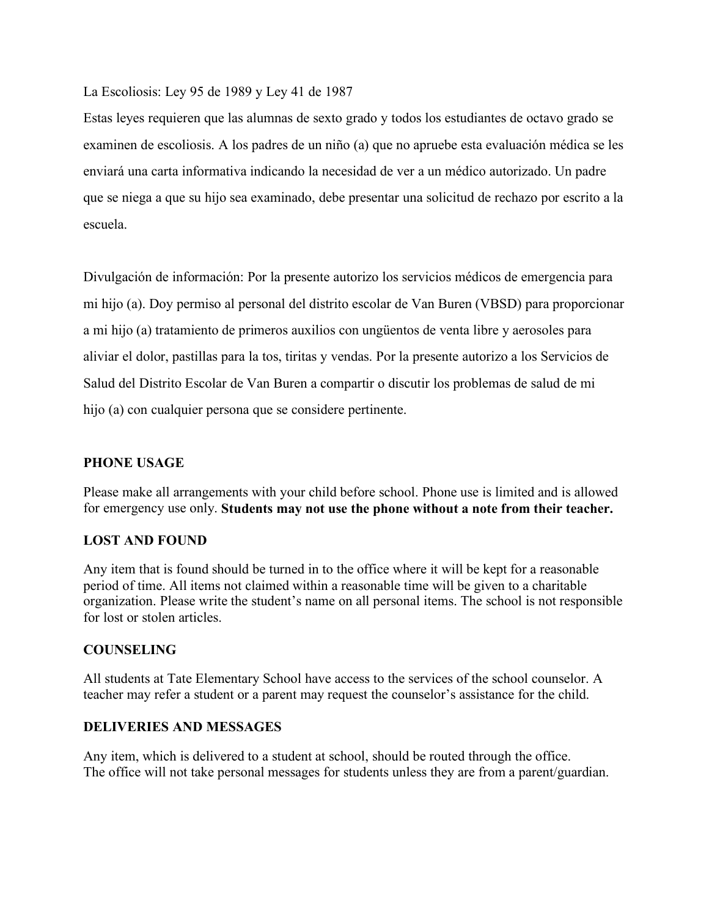La Escoliosis: Ley 95 de 1989 y Ley 41 de 1987

Estas leyes requieren que las alumnas de sexto grado y todos los estudiantes de octavo grado se examinen de escoliosis. A los padres de un niño (a) que no apruebe esta evaluación médica se les enviará una carta informativa indicando la necesidad de ver a un médico autorizado. Un padre que se niega a que su hijo sea examinado, debe presentar una solicitud de rechazo por escrito a la escuela.

Divulgación de información: Por la presente autorizo los servicios médicos de emergencia para mi hijo (a). Doy permiso al personal del distrito escolar de Van Buren (VBSD) para proporcionar a mi hijo (a) tratamiento de primeros auxilios con ungüentos de venta libre y aerosoles para aliviar el dolor, pastillas para la tos, tiritas y vendas. Por la presente autorizo a los Servicios de Salud del Distrito Escolar de Van Buren a compartir o discutir los problemas de salud de mi hijo (a) con cualquier persona que se considere pertinente.

### **PHONE USAGE**

Please make all arrangements with your child before school. Phone use is limited and is allowed for emergency use only. **Students may not use the phone without a note from their teacher.**

## **LOST AND FOUND**

Any item that is found should be turned in to the office where it will be kept for a reasonable period of time. All items not claimed within a reasonable time will be given to a charitable organization. Please write the student's name on all personal items. The school is not responsible for lost or stolen articles.

### **COUNSELING**

All students at Tate Elementary School have access to the services of the school counselor. A teacher may refer a student or a parent may request the counselor's assistance for the child.

### **DELIVERIES AND MESSAGES**

Any item, which is delivered to a student at school, should be routed through the office. The office will not take personal messages for students unless they are from a parent/guardian.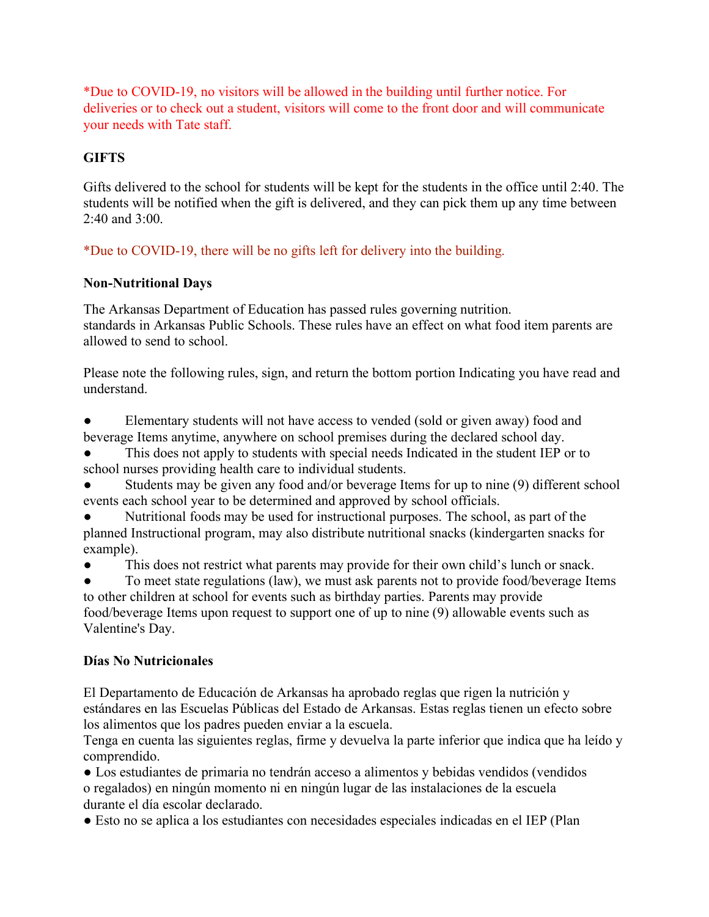\*Due to COVID-19, no visitors will be allowed in the building until further notice. For deliveries or to check out a student, visitors will come to the front door and will communicate your needs with Tate staff.

# **GIFTS**

Gifts delivered to the school for students will be kept for the students in the office until 2:40. The students will be notified when the gift is delivered, and they can pick them up any time between 2:40 and 3:00.

\*Due to COVID-19, there will be no gifts left for delivery into the building.

# **Non-Nutritional Days**

The Arkansas Department of Education has passed rules governing nutrition. standards in Arkansas Public Schools. These rules have an effect on what food item parents are allowed to send to school.

Please note the following rules, sign, and return the bottom portion Indicating you have read and understand.

Elementary students will not have access to vended (sold or given away) food and beverage Items anytime, anywhere on school premises during the declared school day.

This does not apply to students with special needs Indicated in the student IEP or to school nurses providing health care to individual students.

- Students may be given any food and/or beverage Items for up to nine (9) different school events each school year to be determined and approved by school officials.
- Nutritional foods may be used for instructional purposes. The school, as part of the planned Instructional program, may also distribute nutritional snacks (kindergarten snacks for example).

● This does not restrict what parents may provide for their own child's lunch or snack.

To meet state regulations (law), we must ask parents not to provide food/beverage Items to other children at school for events such as birthday parties. Parents may provide food/beverage Items upon request to support one of up to nine (9) allowable events such as Valentine's Day.

# **Días No Nutricionales**

El Departamento de Educación de Arkansas ha aprobado reglas que rigen la nutrición y estándares en las Escuelas Públicas del Estado de Arkansas. Estas reglas tienen un efecto sobre los alimentos que los padres pueden enviar a la escuela.

Tenga en cuenta las siguientes reglas, firme y devuelva la parte inferior que indica que ha leído y comprendido.

● Los estudiantes de primaria no tendrán acceso a alimentos y bebidas vendidos (vendidos o regalados) en ningún momento ni en ningún lugar de las instalaciones de la escuela durante el día escolar declarado.

● Esto no se aplica a los estudiantes con necesidades especiales indicadas en el IEP (Plan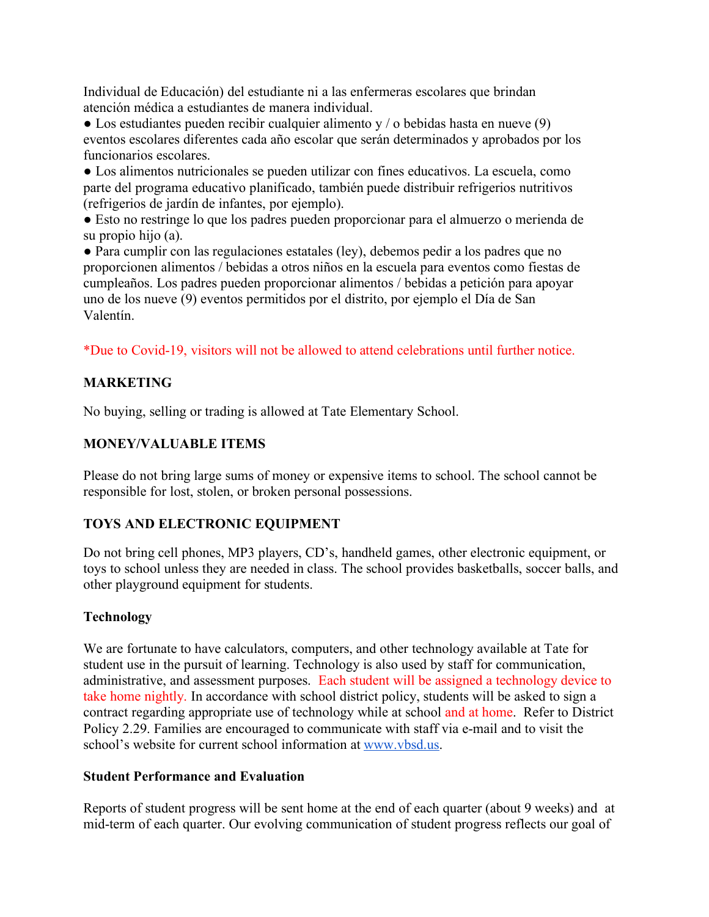Individual de Educación) del estudiante ni a las enfermeras escolares que brindan atención médica a estudiantes de manera individual.

 $\bullet$  Los estudiantes pueden recibir cualquier alimento y / o bebidas hasta en nueve (9) eventos escolares diferentes cada año escolar que serán determinados y aprobados por los funcionarios escolares.

● Los alimentos nutricionales se pueden utilizar con fines educativos. La escuela, como parte del programa educativo planificado, también puede distribuir refrigerios nutritivos (refrigerios de jardín de infantes, por ejemplo).

● Esto no restringe lo que los padres pueden proporcionar para el almuerzo o merienda de su propio hijo (a).

● Para cumplir con las regulaciones estatales (ley), debemos pedir a los padres que no proporcionen alimentos / bebidas a otros niños en la escuela para eventos como fiestas de cumpleaños. Los padres pueden proporcionar alimentos / bebidas a petición para apoyar uno de los nueve (9) eventos permitidos por el distrito, por ejemplo el Día de San Valentín.

\*Due to Covid-19, visitors will not be allowed to attend celebrations until further notice.

# **MARKETING**

No buying, selling or trading is allowed at Tate Elementary School.

# **MONEY/VALUABLE ITEMS**

Please do not bring large sums of money or expensive items to school. The school cannot be responsible for lost, stolen, or broken personal possessions.

# **TOYS AND ELECTRONIC EQUIPMENT**

Do not bring cell phones, MP3 players, CD's, handheld games, other electronic equipment, or toys to school unless they are needed in class. The school provides basketballs, soccer balls, and other playground equipment for students.

# **Technology**

We are fortunate to have calculators, computers, and other technology available at Tate for student use in the pursuit of learning. Technology is also used by staff for communication, administrative, and assessment purposes. Each student will be assigned a technology device to take home nightly. In accordance with school district policy, students will be asked to sign a contract regarding appropriate use of technology while at school and at home. Refer to District Policy 2.29. Families are encouraged to communicate with staff via e-mail and to visit the school's website for current school information at [www.vbsd.us.](http://www.vbsd.us/)

## **Student Performance and Evaluation**

Reports of student progress will be sent home at the end of each quarter (about 9 weeks) and at mid-term of each quarter. Our evolving communication of student progress reflects our goal of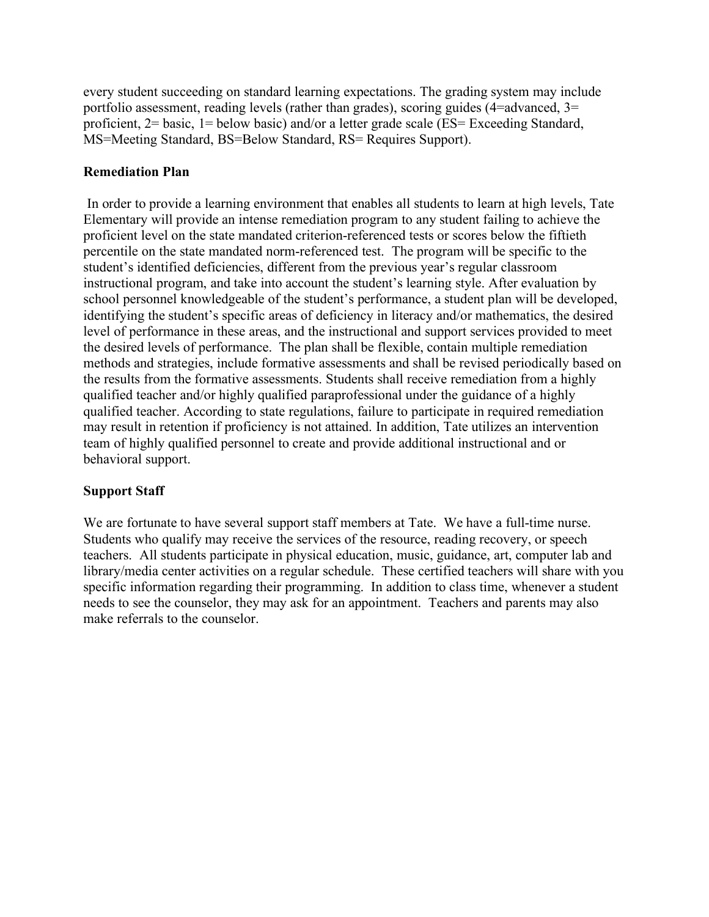every student succeeding on standard learning expectations. The grading system may include portfolio assessment, reading levels (rather than grades), scoring guides (4=advanced, 3= proficient, 2= basic, 1= below basic) and/or a letter grade scale (ES= Exceeding Standard, MS=Meeting Standard, BS=Below Standard, RS= Requires Support).

## **Remediation Plan**

In order to provide a learning environment that enables all students to learn at high levels, Tate Elementary will provide an intense remediation program to any student failing to achieve the proficient level on the state mandated criterion-referenced tests or scores below the fiftieth percentile on the state mandated norm-referenced test. The program will be specific to the student's identified deficiencies, different from the previous year's regular classroom instructional program, and take into account the student's learning style. After evaluation by school personnel knowledgeable of the student's performance, a student plan will be developed, identifying the student's specific areas of deficiency in literacy and/or mathematics, the desired level of performance in these areas, and the instructional and support services provided to meet the desired levels of performance. The plan shall be flexible, contain multiple remediation methods and strategies, include formative assessments and shall be revised periodically based on the results from the formative assessments. Students shall receive remediation from a highly qualified teacher and/or highly qualified paraprofessional under the guidance of a highly qualified teacher. According to state regulations, failure to participate in required remediation may result in retention if proficiency is not attained. In addition, Tate utilizes an intervention team of highly qualified personnel to create and provide additional instructional and or behavioral support.

# **Support Staff**

We are fortunate to have several support staff members at Tate. We have a full-time nurse. Students who qualify may receive the services of the resource, reading recovery, or speech teachers. All students participate in physical education, music, guidance, art, computer lab and library/media center activities on a regular schedule. These certified teachers will share with you specific information regarding their programming. In addition to class time, whenever a student needs to see the counselor, they may ask for an appointment. Teachers and parents may also make referrals to the counselor.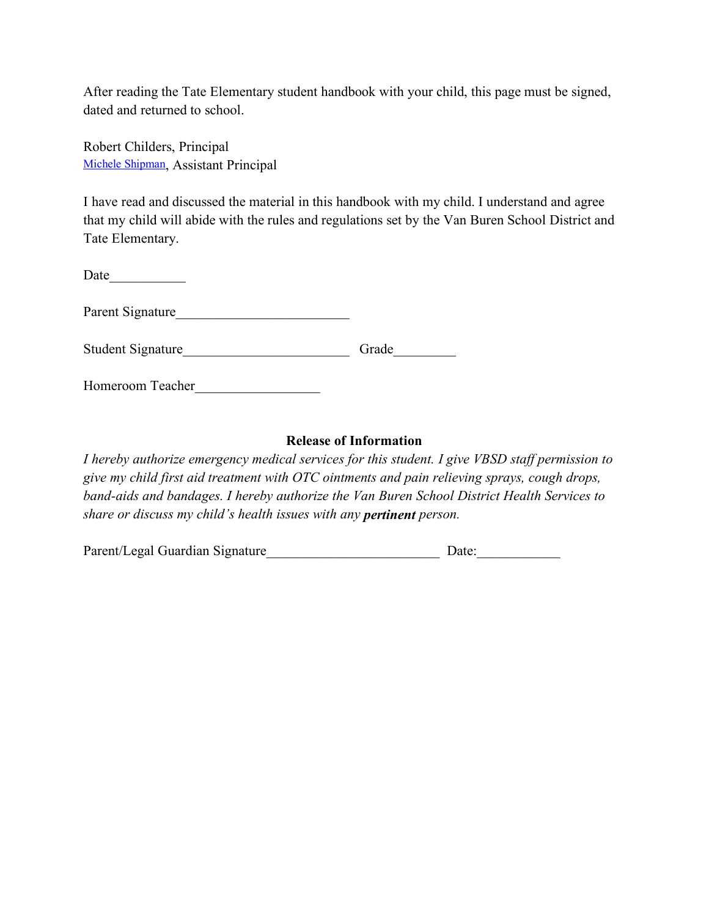After reading the Tate Elementary student handbook with your child, this page must be signed, dated and returned to school.

Robert Childers, Principal [Michele Shipman,](mailto:michele.shipman@vbsd.us) Assistant Principal

I have read and discussed the material in this handbook with my child. I understand and agree that my child will abide with the rules and regulations set by the Van Buren School District and Tate Elementary.

| Grade |
|-------|
|       |

Homeroom Teacher\_\_\_\_\_\_\_\_\_\_\_\_\_\_\_\_\_\_

### **Release of Information**

*I hereby authorize emergency medical services for this student. I give VBSD staff permission to give my child first aid treatment with OTC ointments and pain relieving sprays, cough drops, band-aids and bandages. I hereby authorize the Van Buren School District Health Services to share or discuss my child's health issues with any pertinent person.*

| Parent/Legal Guardian Signature |  | Date: |
|---------------------------------|--|-------|
|                                 |  |       |